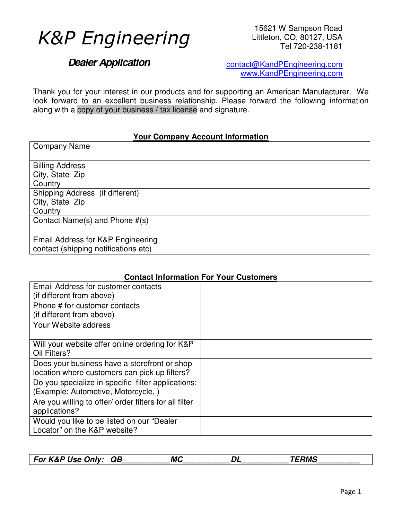# *K&P Engineering*

15621 W Sampson Road Littleton, CO, 80127, USA Tel 720-238-1181

# **Dealer Application**

contact@KandPEngineering.com www.KandPEngineering.com

Thank you for your interest in our products and for supporting an American Manufacturer. We look forward to an excellent business relationship. Please forward the following information along with a copy of your business / tax license and signature.

### **Your Company Account Information**

| <b>Company Name</b>                  |  |
|--------------------------------------|--|
| <b>Billing Address</b>               |  |
| City, State Zip                      |  |
| Country                              |  |
| Shipping Address (if different)      |  |
| City, State Zip                      |  |
| Country                              |  |
| Contact Name(s) and Phone #(s)       |  |
|                                      |  |
| Email Address for K&P Engineering    |  |
| contact (shipping notifications etc) |  |

### **Contact Information For Your Customers**

| Email Address for customer contacts                    |  |
|--------------------------------------------------------|--|
| (if different from above)                              |  |
| Phone # for customer contacts                          |  |
| (if different from above)                              |  |
| Your Website address                                   |  |
|                                                        |  |
| Will your website offer online ordering for K&P        |  |
| Oil Filters?                                           |  |
| Does your business have a storefront or shop           |  |
| location where customers can pick up filters?          |  |
| Do you specialize in specific filter applications:     |  |
| (Example: Automotive, Motorcycle,)                     |  |
| Are you willing to offer/ order filters for all filter |  |
| applications?                                          |  |
| Would you like to be listed on our "Dealer             |  |
| Locator" on the K&P website?                           |  |

| <b>For K&amp;P Use Only:</b> | <b>QB</b> | <b>MC</b> |  | <b>ERMS</b> |
|------------------------------|-----------|-----------|--|-------------|
|------------------------------|-----------|-----------|--|-------------|